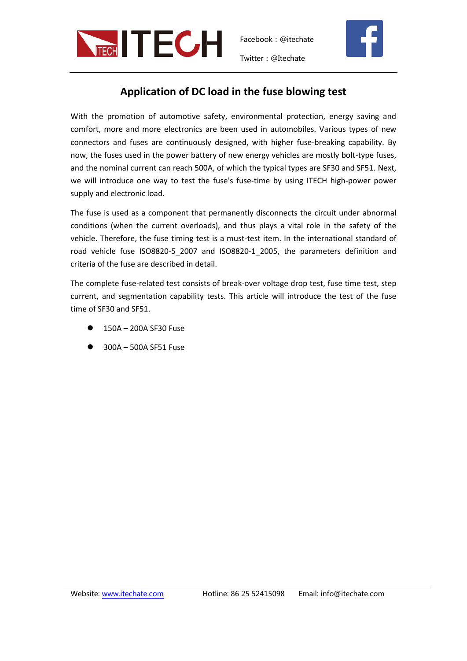

Twitter:@Itechate



## **Application of DC load in the fuse blowing test**

With the promotion of automotive safety, environmental protection, energy saving and comfort, more and more electronics are been used in automobiles. Various types of new connectors and fuses are continuously designed, with higher fuse-breaking capability. By now, the fuses used in the power battery of new energy vehicles are mostly bolt-type fuses, and the nominal current can reach 500A, of which the typical types are SF30 and SF51. Next, we will introduce one way to test the fuse's fuse-time by using ITECH high-power power supply and electronic load.

The fuse is used as a component that permanently disconnects the circuit under abnormal conditions (when the current overloads), and thus plays a vital role in the safety of the vehicle. Therefore, the fuse timing test is a must-test item. In the international standard of road vehicle fuse ISO8820-5\_2007 and ISO8820-1\_2005, the parameters definition and criteria of the fuse are described in detail.

The complete fuse-related test consists of break-over voltage drop test, fuse time test, step current, and segmentation capability tests. This article will introduce the test of the fuse time of SF30 and SF51.

- 150A 200A SF30 Fuse
- 300A 500A SF51 Fuse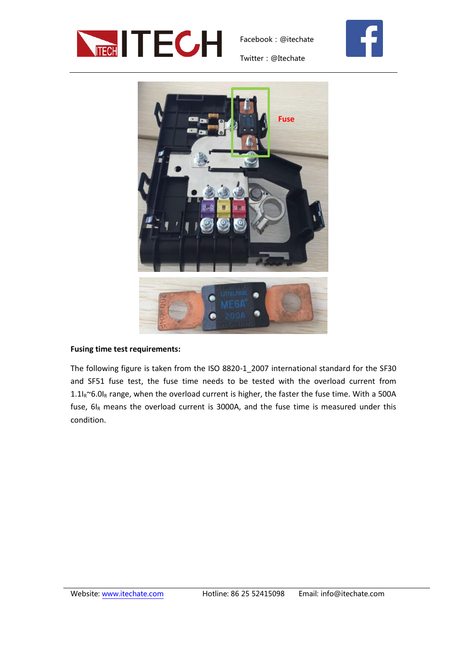



Twitter:@Itechate



## **Fusing time test requirements:**

The following figure is taken from the ISO 8820-1\_2007 international standard for the SF30 and SF51 fuse test, the fuse time needs to be tested with the overload current from  $1.1\text{I}_\text{R}$ ~6.0I<sub>R</sub> range, when the overload current is higher, the faster the fuse time. With a 500A fuse,  $6I_R$  means the overload current is 3000A, and the fuse time is measured under this condition.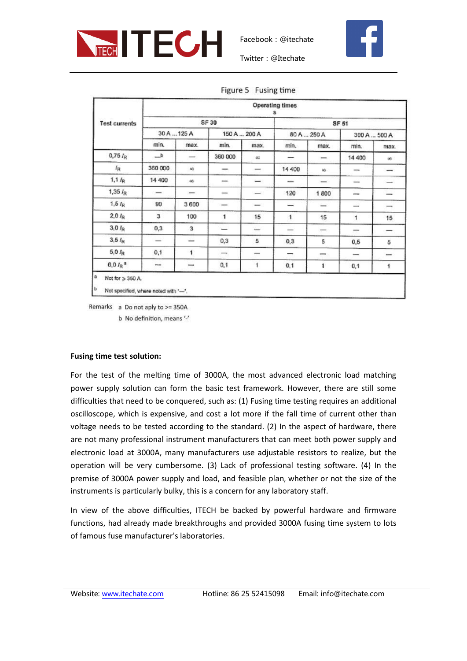



Twitter:@Itechate

Figure 5 Fusing time

|                           | <b>Operating times</b><br>s |                          |                   |                          |                          |                                |                          |                          |  |  |  |
|---------------------------|-----------------------------|--------------------------|-------------------|--------------------------|--------------------------|--------------------------------|--------------------------|--------------------------|--|--|--|
| <b>Test currents</b>      |                             |                          | SF 30             | SF 51                    |                          |                                |                          |                          |  |  |  |
|                           | 30 A  125 A                 |                          | 150 A., 200 A     |                          | 80 A  250 A              |                                | 300 A., 500 A            |                          |  |  |  |
|                           | min.                        | max.                     | min.              | max.                     | min.                     | max.                           | min.                     | max.                     |  |  |  |
| $0,75\,I_{\rm R}$         | ط                           | $\overline{\phantom{0}}$ | 360 000           | œ                        | $\overline{\phantom{a}}$ | $\qquad \qquad \longleftarrow$ | 14 400                   | ö6                       |  |  |  |
| $I_{R}$                   | 360 000                     | so.                      | -                 | $\overline{\phantom{a}}$ | 14 400                   | SO-                            | $\frac{1}{2}$            | $-$                      |  |  |  |
| $1, 1 \nvert_{R}$         | 14 400                      | 46                       | and in            | Î,                       | -                        | L                              | $-$                      | $-$                      |  |  |  |
| $1,35 I_R$                | $\overline{\phantom{a}}$    |                          | $\frac{1}{2}$     | $-1$                     | 120                      | 1800                           | $\overline{\phantom{a}}$ | ---                      |  |  |  |
| 1.5 <sub>R</sub>          | 90                          | 3600                     | —                 | $\overline{\phantom{a}}$ | نت                       | $\overline{\phantom{a}}$       | $\frac{1}{2}$            | $\overline{\phantom{a}}$ |  |  |  |
| $2.0 \, I_R$              | 3                           | 100                      | 1                 | 15                       | $\mathbf{1}$             | 15                             | 1                        | 15                       |  |  |  |
| $3,0\ \textit{lp}$        | 0,3                         | 3                        | -                 | some in                  | $\equiv$                 |                                | mons.                    | -                        |  |  |  |
| 3,5/ <sub>H</sub>         | $-$                         | -                        | 0,3               | 5                        | 0,3                      | 5                              | 0, 6                     | 5                        |  |  |  |
| $5,0\ I_R$                | 0,1                         | 1                        | $\longrightarrow$ | -                        | -                        | $\overline{\phantom{a}}$       | $\overline{\phantom{a}}$ | $\overline{\phantom{a}}$ |  |  |  |
| $6.0 \, I_R$ <sup>a</sup> | -                           | -                        | 0,1               | $\ddot{\phantom{1}}$     | 0,1                      | 1                              | 0,1                      | 1                        |  |  |  |

Remarks a Do not aply to >= 350A b No definition, means '-'

## **Fusing time test solution:**

For the test of the melting time of 3000A, the most advanced electronic load matching power supply solution can form the basic test framework. However, there are still some difficulties that need to be conquered, such as: (1) Fusing time testing requires an additional oscilloscope, which is expensive, and cost a lot more if the fall time of current other than voltage needs to be tested according to the standard. (2) In the aspect of hardware, there are not many professional instrument manufacturers that can meet both power supply and electronic load at 3000A, many manufacturers use adjustable resistors to realize, but the operation will be very cumbersome. (3) Lack of professional testing software. (4) In the premise of 3000A power supply and load, and feasible plan, whether or not the size of the instruments is particularly bulky, this is a concern for any laboratory staff.

In view of the above difficulties, ITECH be backed by powerful hardware and firmware functions, had already made breakthroughs and provided 3000A fusing time system to lots of famous fuse manufacturer's laboratories.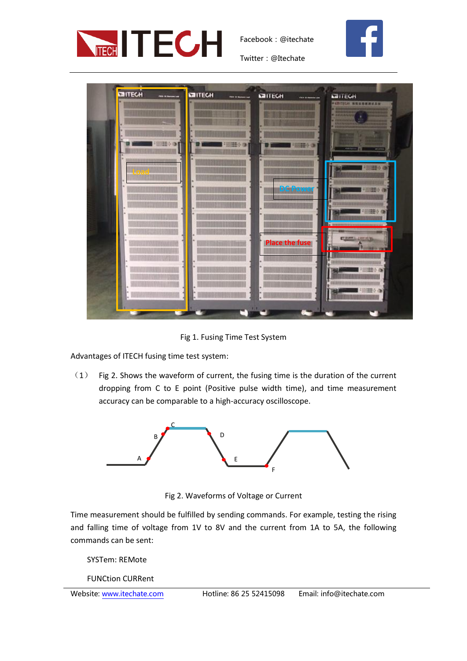



Twitter:@Itechate



Fig 1. Fusing Time Test System

Advantages of ITECH fusing time test system:

(1) Fig 2. Shows the waveform of current, the fusing time is the duration of the current dropping from C to E point (Positive pulse width time), and time measurement accuracy can be comparable to a high-accuracy oscilloscope.



Fig 2. Waveforms of Voltage or Current

Time measurement should be fulfilled by sending commands. For example, testing the rising and falling time of voltage from 1V to 8V and the current from 1A to 5A, the following commands can be sent:

SYSTem: REMote

FUNCtion CURRent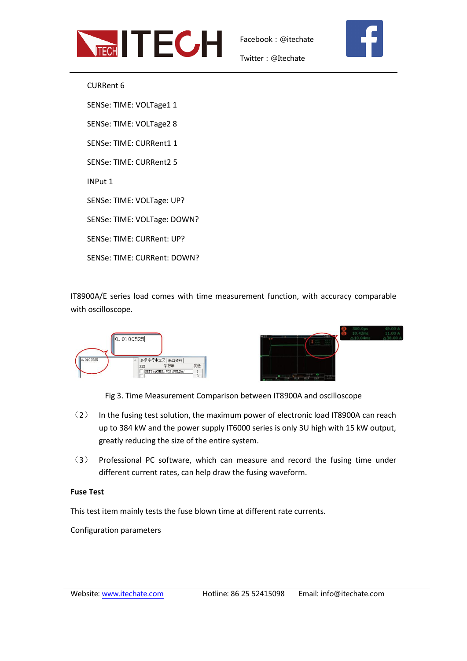



Twitter:@Itechate

CURRent 6 SENSe: TIME: VOLTage1 1 SENSe: TIME: VOLTage2 8 SENSe: TIME: CURRent1 1 SENSe: TIME: CURRent2 5 INPut 1 SENSe: TIME: VOLTage: UP? SENSe: TIME: VOLTage: DOWN? SENSe: TIME: CURRent: UP? SENSe: TIME: CURRent: DOWN?

IT8900A/E series load comes with time measurement function, with accuracy comparable with oscilloscope.



Fig 3. Time Measurement Comparison between IT8900A and oscilloscope

- (2) In the fusing test solution, the maximum power of electronic load IT8900A can reach up to 384 kW and the power supply IT6000 series is only 3U high with 15 kW output, greatly reducing the size of the entire system.
- (3) Professional PC software, which can measure and record the fusing time under different current rates, can help draw the fusing waveform.

## **Fuse Test**

This test item mainly tests the fuse blown time at different rate currents.

Configuration parameters